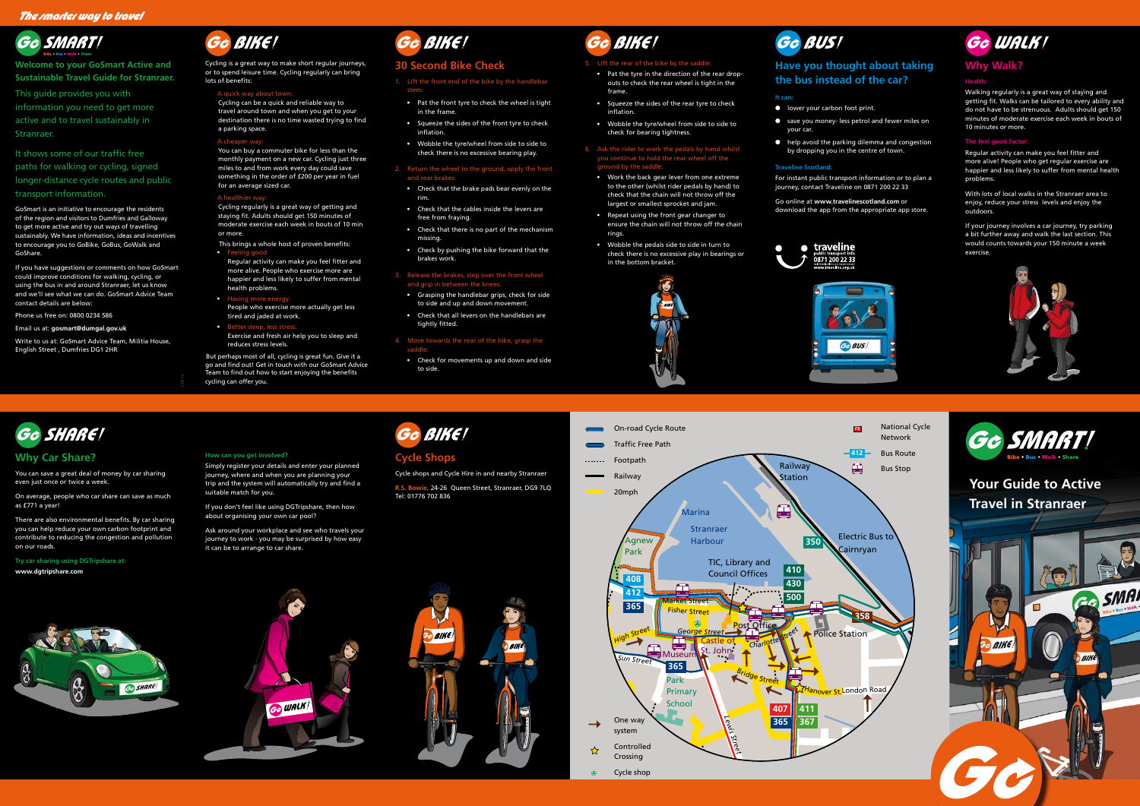## **Why Car Share?**

You can save a great deal of money by car sharing even just once or twice a week.

On average, people who car share can save as much as £771 a year!

There are also environmental benefits. By car sharing you can help reduce your own carbon footprint and contribute to reducing the congestion and pollution on our roads.

**Try car sharing using DGTripshare at: www.dgtripshare.com**



## **Cycle Shops**

Cycle shops and Cycle Hire in and nearby Stranraer

**R.S. Bowie**, 24-26 Queen Street, Stranraer, DG9 7LQ Tel: 01776 702 836









 $\rightarrow$ 







#### **How can you get involved?**

Simply register your details and enter your planned journey, where and when you are planning your trip and the system will automatically try and find a suitable match for you.

If you don't feel like using DGTripshare, then how about organising your own car pool?

If you have suggestions or comments on how GoSmart could improve conditions for walking, cycling, or using the bus in and around Stranraer, let us know and we'll see what we can do. GoSmart Advice Team contact details are below:

> Ask around your workplace and see who travels your journey to work - you may be surprised by how easy it can be to arrange to car share.





**Welcome to your GoSmart Active and Sustainable Travel Guide for Stranraer.**

This guide provides you with information you need to get more active and to travel sustainably in Stranraer.

It shows some of our traffic free paths for walking or cycling, signed longer-distance cycle routes and public

#### transport information.

This brings a whole host of proven benefits:  $\bullet$  Feeling good  $\bullet$ 

- Regular activity can make you feel fitter and more alive. People who exercise more are happier and less likely to suffer from mental health problems.
- Having more energy

GoSmart is an initiative to encourage the residents of the region and visitors to Dumfries and Galloway to get more active and try out ways of travelling sustainably. We have information, ideas and incentives to encourage you to GoBike, GoBus, GoWalk and GoShare.

- People who exercise more actually get less tired and jaded at work.
- Better sleep, less stress: Exercise and fresh air help you to sleep and

Phone us free on: 0800 0234 586

Email us at: **gosmart@dumgal.gov.uk**

Write to us at: GoSmart Advice Team, Militia House, English Street , Dumfries DG1 2HR



Cycling is a great way to make short regular journeys, or to spend leisure time. Cycling regularly can bring lots of benefits:

#### A quick way about town:

Cycling can be a quick and reliable way to travel around town and when you get to your destination there is no time wasted trying to find a parking space.

#### A cheaper y

You can buy a commuter bike for less than the monthly payment on a new car. Cycling just three miles to and from work every day could save something in the order of £200 per year in fuel for an average sized car.

#### A healthier wa

- lower your carbon foot print.
- save you money- less petrol and fewer miles on your car.
- help avoid the parking dilemma and congestion by dropping you in the centre of town.

Cycling regularly is a great way of getting and staying fit. Adults should get 150 minutes of moderate exercise each week in bouts of 10 min or more.

reduces stress levels.

But perhaps most of all, cycling is great fun. Give it a go and find out! Get in touch with our GoSmart Advice Team to find out how to start enjoying the benefits cycling can offer you.



### **30 Second Bike Check**

1. Lift the front end of the bike by the handlebar stem:

- Pat the front tyre to check the wheel is tight in the frame.
- Squeeze the sides of the front tyre to check inflation.
- Wobble the tyre/wheel from side to side to check there is no excessive bearing play.

#### 2. Return the wheel to the ground, apply the front and rear brakes:

- Check that the brake pads bear evenly on the rim.
- Check that the cables inside the levers are free from fraying.
- Check that there is no part of the mechanism missing.
- Check by pushing the bike forward that the brakes work.

#### 3. Release the brakes, step over the front wheel and grip in between the knees:

- Grasping the handlebar grips, check for side to side and up and down movement.
- Check that all levers on the handlebars are tightly fitted.

#### 4. Move towards the rear of the bike, grasp the saddle:

• Check for movements up and down and side to side.



#### 5. Lift the rear of the bike by the saddle:

• Pat the tyre in the direction of the rear dropouts to check the rear wheel is tight in the frame.

• Squeeze the sides of the rear tyre to check inflation.

• Wobble the tyre/wheel from side to side to check for bearing tightness.

#### 6. Ask the rider to work the pedals by hand whilst you continue to hold the rear wheel off the ground by the saddle:

• Work the back gear lever from one extreme to the other (whilst rider pedals by hand) to check that the chain will not throw off the largest or smallest sprocket and jam.

• Repeat using the front gear changer to ensure the chain will not throw off the chain rings.

• Wobble the pedals side to side in turn to check there is no excessive play in bearings or in the bottom bracket.



## Ge BUS!

## **Have you thought about taking the bus instead of the car?**

#### **It can:**

#### **Traveline Scotland:**

For instant public transport information or to plan a journey, contact Traveline on 0871 200 22 33

#### Go online at **www.travelinescotland.com** or download the app from the appropriate app store.





## **Why Walk?**

#### **Health:**

Walking regularly is a great way of staying and getting fit. Walks can be tailored to every ability and do not have to be strenuous. Adults should get 150 minutes of moderate exercise each week in bouts of 10 minutes or more.

#### **The feel good factor:**

Regular activity can make you feel fitter and more alive! People who get regular exercise are happier and less likely to suffer from mental health problems.

With lots of local walks in the Stranraer area to enjoy, reduce your stress levels and enjoy the outdoors.

If your journey involves a car journey, try parking a bit further away and walk the last section. This would counts towards your 150 minute a week exercise.



**0378-14**

Edinburgh Road

Dalrymple Street





![](_page_0_Picture_91.jpeg)

Cycle shop